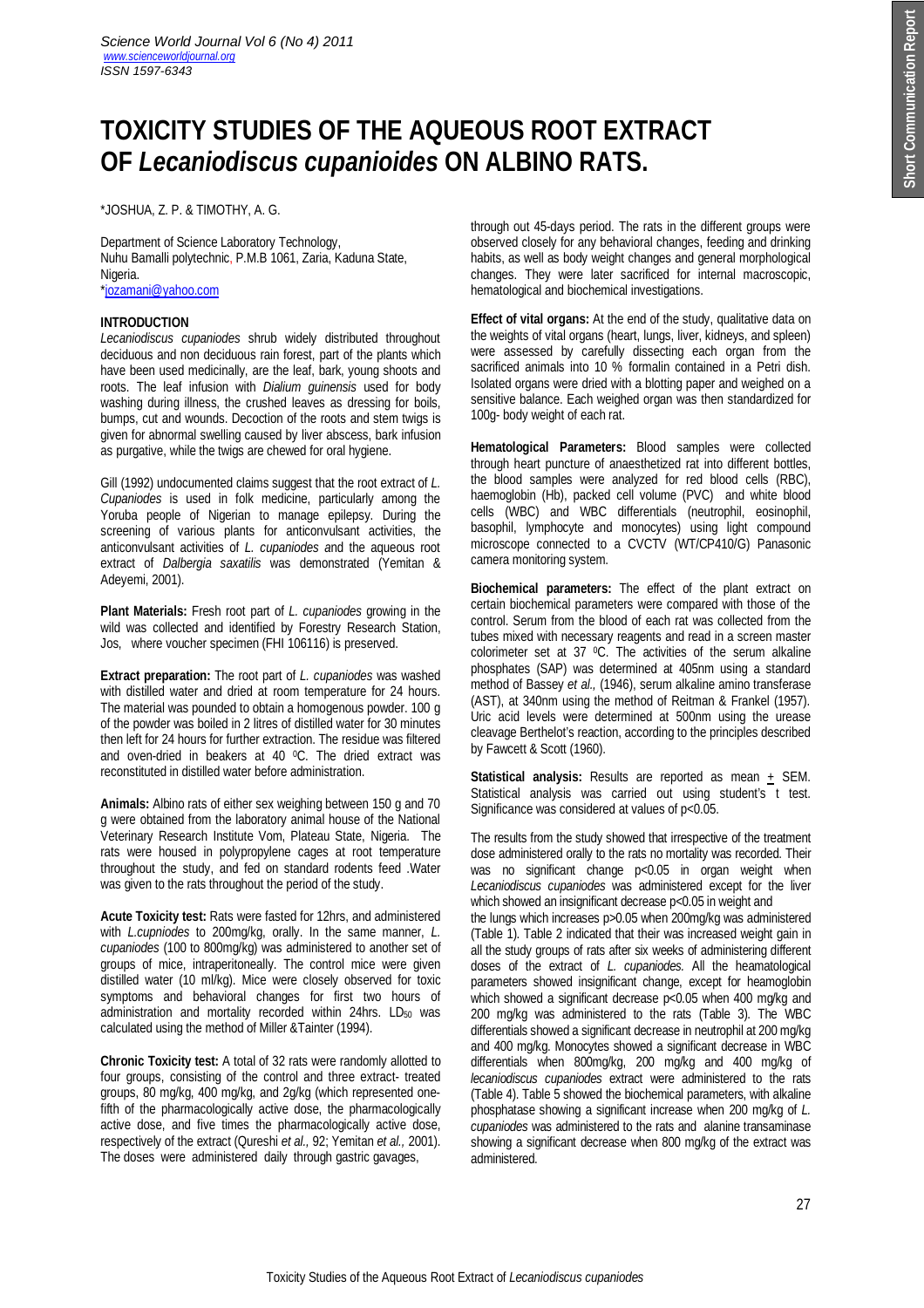# **TOXICITY STUDIES OF THE AQUEOUS ROOT EXTRACT OF** *Lecaniodiscus cupanioides* **ON ALBINO RATS.**

\*JOSHUA, Z. P. & TIMOTHY, A. G.

Department of Science Laboratory Technology, Nuhu Bamalli polytechnic, P.M.B 1061, Zaria, Kaduna State, Nigeria. \*jozamani@yahoo.com

## **INTRODUCTION**

*Lecaniodiscus cupaniodes* shrub widely distributed throughout deciduous and non deciduous rain forest, part of the plants which have been used medicinally, are the leaf, bark, young shoots and roots. The leaf infusion with *Dialium guinensis* used for body washing during illness, the crushed leaves as dressing for boils, bumps, cut and wounds. Decoction of the roots and stem twigs is given for abnormal swelling caused by liver abscess, bark infusion as purgative, while the twigs are chewed for oral hygiene.

Gill (1992) undocumented claims suggest that the root extract of *L. Cupaniodes* is used in folk medicine, particularly among the Yoruba people of Nigerian to manage epilepsy. During the screening of various plants for anticonvulsant activities, the anticonvulsant activities of *L. cupaniodes a*nd the aqueous root extract of *Dalbergia saxatilis* was demonstrated (Yemitan & Adeyemi, 2001).

**Plant Materials:** Fresh root part of *L. cupaniodes* growing in the wild was collected and identified by Forestry Research Station, Jos, where voucher specimen (FHI 106116) is preserved.

**Extract preparation:** The root part of *L. cupaniodes* was washed with distilled water and dried at room temperature for 24 hours. The material was pounded to obtain a homogenous powder. 100 g of the powder was boiled in 2 litres of distilled water for 30 minutes then left for 24 hours for further extraction. The residue was filtered and oven-dried in beakers at 40 °C. The dried extract was reconstituted in distilled water before administration.

**Animals:** Albino rats of either sex weighing between 150 g and 70 g were obtained from the laboratory animal house of the National Veterinary Research Institute Vom, Plateau State, Nigeria. The rats were housed in polypropylene cages at root temperature throughout the study, and fed on standard rodents feed .Water was given to the rats throughout the period of the study.

**Acute Toxicity test:** Rats were fasted for 12hrs, and administered with *L.cupniodes* to 200mg/kg, orally. In the same manner, *L. cupaniodes* (100 to 800mg/kg) was administered to another set of groups of mice, intraperitoneally. The control mice were given distilled water (10 ml/kg). Mice were closely observed for toxic symptoms and behavioral changes for first two hours of administration and mortality recorded within 24hrs. LD<sub>50</sub> was calculated using the method of Miller &Tainter (1994).

**Chronic Toxicity test:** A total of 32 rats were randomly allotted to four groups, consisting of the control and three extract- treated groups, 80 mg/kg, 400 mg/kg, and 2g/kg (which represented onefifth of the pharmacologically active dose, the pharmacologically active dose, and five times the pharmacologically active dose, respectively of the extract (Qureshi *et al.,* 92; Yemitan *et al.,* 2001). The doses were administered daily through gastric gavages,

through out 45-days period. The rats in the different groups were observed closely for any behavioral changes, feeding and drinking habits, as well as body weight changes and general morphological changes. They were later sacrificed for internal macroscopic, hematological and biochemical investigations.

**Effect of vital organs:** At the end of the study, qualitative data on the weights of vital organs (heart, lungs, liver, kidneys, and spleen) were assessed by carefully dissecting each organ from the sacrificed animals into 10 % formalin contained in a Petri dish. Isolated organs were dried with a blotting paper and weighed on a sensitive balance. Each weighed organ was then standardized for 100g- body weight of each rat.

**Hematological Parameters:** Blood samples were collected through heart puncture of anaesthetized rat into different bottles, the blood samples were analyzed for red blood cells (RBC), haemoglobin (Hb), packed cell volume (PVC) and white blood cells (WBC) and WBC differentials (neutrophil, eosinophil, basophil, lymphocyte and monocytes) using light compound microscope connected to a CVCTV (WT/CP410/G) Panasonic camera monitoring system.

**Biochemical parameters:** The effect of the plant extract on certain biochemical parameters were compared with those of the control. Serum from the blood of each rat was collected from the tubes mixed with necessary reagents and read in a screen master colorimeter set at 37 °C. The activities of the serum alkaline phosphates (SAP) was determined at 405nm using a standard method of Bassey *et al.,* (1946), serum alkaline amino transferase (AST), at 340nm using the method of Reitman & Frankel (1957). Uric acid levels were determined at 500nm using the urease cleavage Berthelot's reaction, according to the principles described by Fawcett & Scott (1960).

**Statistical analysis:** Results are reported as mean  $\pm$  SEM. Statistical analysis was carried out using student's t test. Significance was considered at values of p<0.05.

The results from the study showed that irrespective of the treatment dose administered orally to the rats no mortality was recorded. Their was no significant change p<0.05 in organ weight when *Lecaniodiscus cupaniodes* was administered except for the liver which showed an insignificant decrease p<0.05 in weight and

the lungs which increases p>0.05 when 200mg/kg was administered (Table 1). Table 2 indicated that their was increased weight gain in all the study groups of rats after six weeks of administering different doses of the extract of *L. cupaniodes.* All the heamatological parameters showed insignificant change, except for heamoglobin which showed a significant decrease p<0.05 when 400 mg/kg and 200 mg/kg was administered to the rats (Table 3). The WBC differentials showed a significant decrease in neutrophil at 200 mg/kg and 400 mg/kg. Monocytes showed a significant decrease in WBC differentials when 800mg/kg, 200 mg/kg and 400 mg/kg of *lecaniodiscus cupaniodes* extract were administered to the rats (Table 4). Table 5 showed the biochemical parameters, with alkaline phosphatase showing a significant increase when 200 mg/kg of *L. cupaniodes* was administered to the rats and alanine transaminase showing a significant decrease when 800 mg/kg of the extract was administered.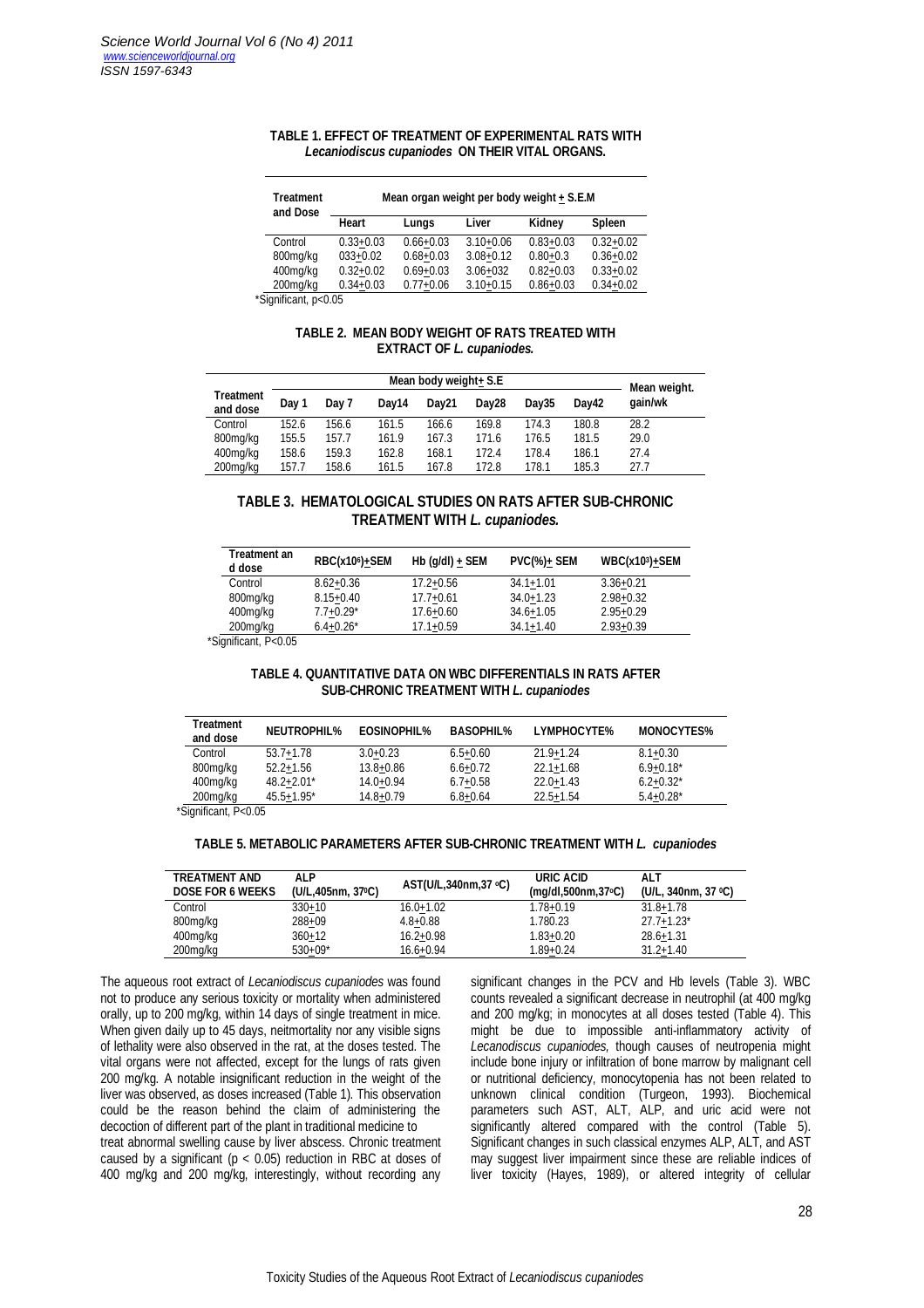#### **TABLE 1. EFFECT OF TREATMENT OF EXPERIMENTAL RATS WITH**  *Lecaniodiscus cupaniodes* **ON THEIR VITAL ORGANS.**

| <b>Treatment</b><br>and Dose | Mean organ weight per body weight + S.E.M |               |               |               |               |  |  |
|------------------------------|-------------------------------------------|---------------|---------------|---------------|---------------|--|--|
|                              | Heart                                     | Lungs         | Liver         | Kidney        | <b>Spleen</b> |  |  |
| Control                      | $0.33 + 0.03$                             | $0.66 + 0.03$ | $3.10 + 0.06$ | $0.83 + 0.03$ | $0.32 + 0.02$ |  |  |
| 800mg/kg                     | $033+0.02$                                | $0.68 + 0.03$ | $3.08 + 0.12$ | $0.80 + 0.3$  | $0.36 + 0.02$ |  |  |
| 400mg/kg                     | $0.32 + 0.02$                             | $0.69 + 0.03$ | $3.06 + 032$  | $0.82 + 0.03$ | $0.33 + 0.02$ |  |  |
| 200mg/kg                     | $0.34 + 0.03$                             | $0.77 + 0.06$ | $3.10 + 0.15$ | $0.86 + 0.03$ | $0.34 + 0.02$ |  |  |

\*Significant, p<0.05

### **TABLE 2. MEAN BODY WEIGHT OF RATS TREATED WITH EXTRACT OF** *L. cupaniodes.*

|                              | Mean body weight+ S.E |       |       |                   |                   | Mean weight. |       |         |
|------------------------------|-----------------------|-------|-------|-------------------|-------------------|--------------|-------|---------|
| <b>Treatment</b><br>and dose | Dav 1                 | Day 7 | Dav14 | Dav <sub>21</sub> | Dav <sub>28</sub> | Dav35        | Dav42 | gain/wk |
| Control                      | 152.6                 | 156.6 | 161.5 | 166.6             | 169.8             | 174.3        | 180.8 | 28.2    |
| 800mg/kg                     | 155.5                 | 157.7 | 161.9 | 167.3             | 171.6             | 176.5        | 181.5 | 29.0    |
| 400mg/kg                     | 158.6                 | 159.3 | 162.8 | 168.1             | 172.4             | 178.4        | 186.1 | 27.4    |
| 200mg/kg                     | 157.7                 | 158.6 | 161.5 | 167.8             | 172.8             | 178.1        | 185.3 | 27.7    |

## **TABLE 3. HEMATOLOGICAL STUDIES ON RATS AFTER SUB-CHRONIC TREATMENT WITH** *L. cupaniodes.*

| Treatment an<br>d dose | RBC(x10 <sup>6</sup> )+SEM | $Hb$ (q/dl) + SEM | $PVC(\%) + SEM$ | <b>WBC(x103)+SEM</b> |
|------------------------|----------------------------|-------------------|-----------------|----------------------|
| Control                | $8.62 + 0.36$              | $17.2 + 0.56$     | $34.1 + 1.01$   | $3.36 + 0.21$        |
| 800mg/kg               | $8.15 + 0.40$              | $17.7 + 0.61$     | $34.0 + 1.23$   | $2.98 + 0.32$        |
| 400mg/kg               | $7.7 + 0.29*$              | $17.6 + 0.60$     | $34.6 + 1.05$   | $2.95 + 0.29$        |
| 200mg/kg               | $6.4 + 0.26^*$             | $17.1 + 0.59$     | $34.1 + 1.40$   | $2.93 + 0.39$        |
| $\text{C}$ O. O. O. S. |                            |                   |                 |                      |

\*Significant, P<0.05

## **TABLE 4. QUANTITATIVE DATA ON WBC DIFFERENTIALS IN RATS AFTER SUB-CHRONIC TREATMENT WITH** *L. cupaniodes*

| <b>Treatment</b><br>and dose | <b>NEUTROPHIL%</b> | <b>EOSINOPHIL%</b> | <b>BASOPHIL%</b> | <b>LYMPHOCYTE%</b> | <b>MONOCYTES%</b> |
|------------------------------|--------------------|--------------------|------------------|--------------------|-------------------|
| Control                      | $53.7 + 1.78$      | $3.0 + 0.23$       | $6.5 + 0.60$     | $21.9 + 1.24$      | $8.1 + 0.30$      |
| 800mg/kg                     | $52.2 + 1.56$      | $13.8 + 0.86$      | $6.6 + 0.72$     | $22.1 + 1.68$      | $6.9 + 0.18^*$    |
| 400mg/kg                     | $48.2 + 2.01*$     | $14.0 + 0.94$      | $6.7 + 0.58$     | $22.0 + 1.43$      | $6.2 + 0.32^*$    |
| 200mg/kg                     | $45.5 + 1.95$ *    | 14.8+0.79          | $6.8 + 0.64$     | $22.5 + 1.54$      | $5.4 + 0.28^*$    |

\*Significant, P<0.05

#### **TABLE 5. METABOLIC PARAMETERS AFTER SUB-CHRONIC TREATMENT WITH** *L. cupaniodes*

| <b>TREATMENT AND</b><br><b>DOSE FOR 6 WEEKS</b> | ALP<br>(U/L.405nm, 37 °C) | AST(U/L,340nm,37 °C) | URIC ACID<br>(mq/dl, 500nm, 37°C) | <b>ALT</b><br>(U/L, 340nm, 37 °C) |
|-------------------------------------------------|---------------------------|----------------------|-----------------------------------|-----------------------------------|
| Control                                         | $330+10$                  | $16.0 + 1.02$        | $1.78 + 0.19$                     | $31.8 + 1.78$                     |
| 800mg/kg                                        | $288 + 09$                | $4.8 + 0.88$         | 1.780.23                          | $27.7 + 1.23$ *                   |
| 400mg/kg                                        | $360+12$                  | $16.2 + 0.98$        | $1.83 + 0.20$                     | $28.6 + 1.31$                     |
| 200mg/kg                                        | $530+09*$                 | 16.6+0.94            | $1.89 + 0.24$                     | $31.2 + 1.40$                     |

The aqueous root extract of *Lecaniodiscus cupaniodes* was found not to produce any serious toxicity or mortality when administered orally, up to 200 mg/kg, within 14 days of single treatment in mice. When given daily up to 45 days, neitmortality nor any visible signs of lethality were also observed in the rat, at the doses tested. The vital organs were not affected, except for the lungs of rats given 200 mg/kg. A notable insignificant reduction in the weight of the liver was observed, as doses increased (Table 1). This observation could be the reason behind the claim of administering the decoction of different part of the plant in traditional medicine to treat abnormal swelling cause by liver abscess. Chronic treatment caused by a significant ( $p < 0.05$ ) reduction in RBC at doses of 400 mg/kg and 200 mg/kg, interestingly, without recording any

significant changes in the PCV and Hb levels (Table 3). WBC counts revealed a significant decrease in neutrophil (at 400 mg/kg and 200 mg/kg; in monocytes at all doses tested (Table 4). This might be due to impossible anti-inflammatory activity of *Lecanodiscus cupaniodes,* though causes of neutropenia might include bone injury or infiltration of bone marrow by malignant cell or nutritional deficiency, monocytopenia has not been related to unknown clinical condition (Turgeon, 1993). Biochemical parameters such AST, ALT, ALP, and uric acid were not significantly altered compared with the control (Table 5). Significant changes in such classical enzymes ALP, ALT, and AST may suggest liver impairment since these are reliable indices of liver toxicity (Hayes, 1989), or altered integrity of cellular